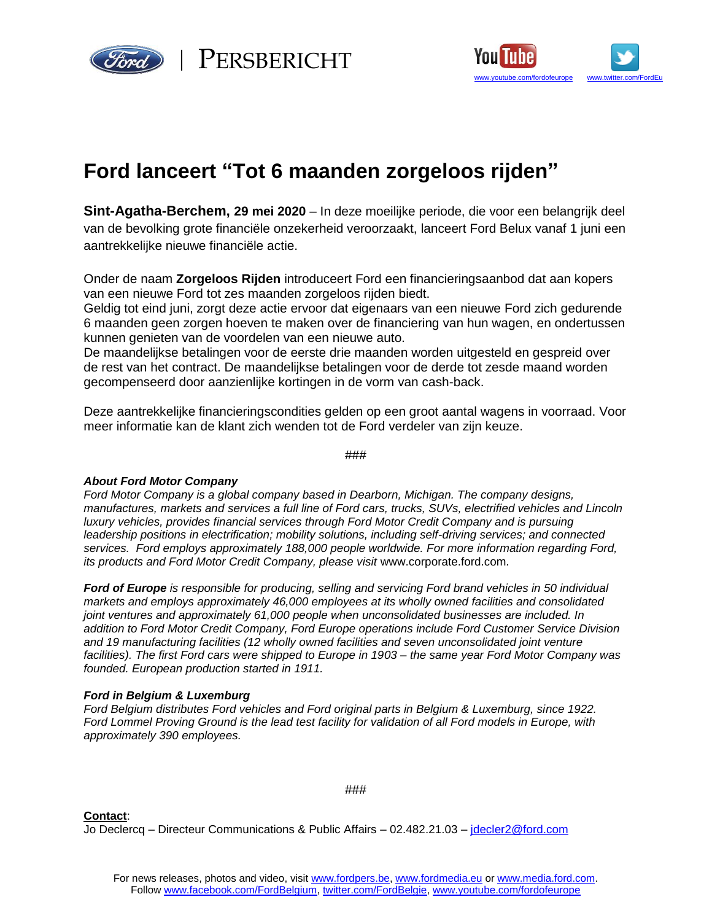

 $\epsilon_{\alpha}$  | PERSBERICHT



# **Ford lanceert "Tot 6 maanden zorgeloos rijden"**

**Sint-Agatha-Berchem, 29 mei 2020** – In deze moeilijke periode, die voor een belangrijk deel van de bevolking grote financiële onzekerheid veroorzaakt, lanceert Ford Belux vanaf 1 juni een aantrekkelijke nieuwe financiële actie.

Onder de naam **Zorgeloos Rijden** introduceert Ford een financieringsaanbod dat aan kopers van een nieuwe Ford tot zes maanden zorgeloos rijden biedt.

Geldig tot eind juni, zorgt deze actie ervoor dat eigenaars van een nieuwe Ford zich gedurende 6 maanden geen zorgen hoeven te maken over de financiering van hun wagen, en ondertussen kunnen genieten van de voordelen van een nieuwe auto.

De maandelijkse betalingen voor de eerste drie maanden worden uitgesteld en gespreid over de rest van het contract. De maandelijkse betalingen voor de derde tot zesde maand worden gecompenseerd door aanzienlijke kortingen in de vorm van cash-back.

Deze aantrekkelijke financieringscondities gelden op een groot aantal wagens in voorraad. Voor meer informatie kan de klant zich wenden tot de Ford verdeler van zijn keuze.

#### ###

## *About Ford Motor Company*

*Ford Motor Company is a global company based in Dearborn, Michigan. The company designs, manufactures, markets and services a full line of Ford cars, trucks, SUVs, electrified vehicles and Lincoln luxury vehicles, provides financial services through Ford Motor Credit Company and is pursuing leadership positions in electrification; mobility solutions, including self-driving services; and connected services. Ford employs approximately 188,000 people worldwide. For more information regarding Ford, its products and Ford Motor Credit Company, please visit [www.corporate.ford.com](http://www.corporate.ford.com/).* 

*Ford of Europe is responsible for producing, selling and servicing Ford brand vehicles in 50 individual markets and employs approximately 46,000 employees at its wholly owned facilities and consolidated joint ventures and approximately 61,000 people when unconsolidated businesses are included. In addition to Ford Motor Credit Company, Ford Europe operations include Ford Customer Service Division and 19 manufacturing facilities (12 wholly owned facilities and seven unconsolidated joint venture facilities). The first Ford cars were shipped to Europe in 1903 – the same year Ford Motor Company was founded. European production started in 1911.*

## *Ford in Belgium & Luxemburg*

*Ford Belgium distributes Ford vehicles and Ford original parts in Belgium & Luxemburg, since 1922. Ford Lommel Proving Ground is the lead test facility for validation of all Ford models in Europe, with approximately 390 employees.* 

#### ###

**Contact**: Jo Declercq – Directeur Communications & Public Affairs – 02.482.21.03 – [jdecler2@ford.com](mailto:jdecler2@ford.com)